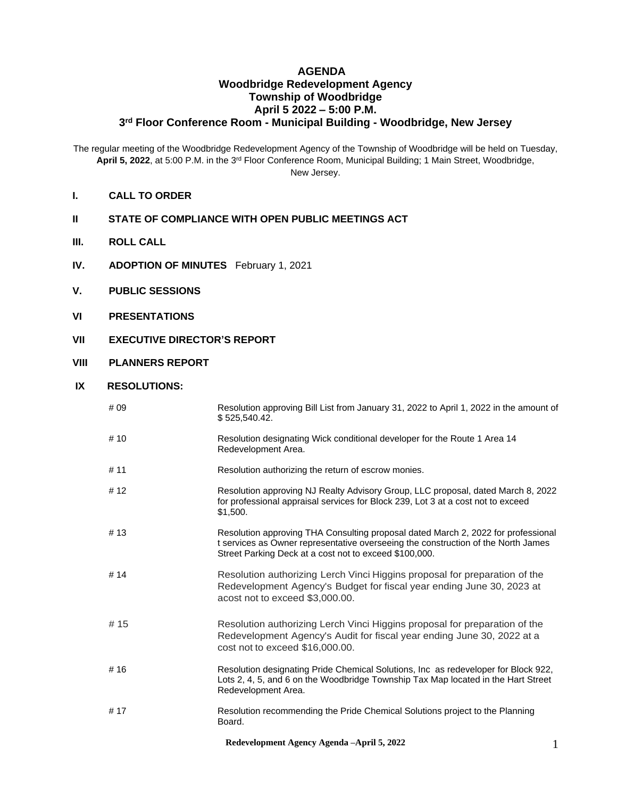## **AGENDA Woodbridge Redevelopment Agency Township of Woodbridge April 5 2022 – 5:00 P.M. 3 rd Floor Conference Room - Municipal Building - Woodbridge, New Jersey**

The regular meeting of the Woodbridge Redevelopment Agency of the Township of Woodbridge will be held on Tuesday, **April 5, 2022**, at 5:00 P.M. in the 3rd Floor Conference Room, Municipal Building; 1 Main Street, Woodbridge, New Jersey.

- **I. CALL TO ORDER**
- **II STATE OF COMPLIANCE WITH OPEN PUBLIC MEETINGS ACT**
- **III. ROLL CALL**
- **IV. ADOPTION OF MINUTES** February 1, 2021
- **V. PUBLIC SESSIONS**
- **VI PRESENTATIONS**
- **VII EXECUTIVE DIRECTOR'S REPORT**
- **VIII PLANNERS REPORT**

## **IX RESOLUTIONS:**

| # 09   | Resolution approving Bill List from January 31, 2022 to April 1, 2022 in the amount of<br>\$525,540.42.                                                                                                                          |
|--------|----------------------------------------------------------------------------------------------------------------------------------------------------------------------------------------------------------------------------------|
| # 10   | Resolution designating Wick conditional developer for the Route 1 Area 14<br>Redevelopment Area.                                                                                                                                 |
| # 11   | Resolution authorizing the return of escrow monies.                                                                                                                                                                              |
| #12    | Resolution approving NJ Realty Advisory Group, LLC proposal, dated March 8, 2022<br>for professional appraisal services for Block 239, Lot 3 at a cost not to exceed<br>\$1,500.                                                 |
| # 13   | Resolution approving THA Consulting proposal dated March 2, 2022 for professional<br>t services as Owner representative overseeing the construction of the North James<br>Street Parking Deck at a cost not to exceed \$100,000. |
| # $14$ | Resolution authorizing Lerch Vinci Higgins proposal for preparation of the<br>Redevelopment Agency's Budget for fiscal year ending June 30, 2023 at<br>acost not to exceed \$3,000.00.                                           |
| #15    | Resolution authorizing Lerch Vinci Higgins proposal for preparation of the<br>Redevelopment Agency's Audit for fiscal year ending June 30, 2022 at a<br>cost not to exceed \$16,000.00.                                          |
| #16    | Resolution designating Pride Chemical Solutions, Inc as redeveloper for Block 922,<br>Lots 2, 4, 5, and 6 on the Woodbridge Township Tax Map located in the Hart Street<br>Redevelopment Area.                                   |
| # 17   | Resolution recommending the Pride Chemical Solutions project to the Planning<br>Board.                                                                                                                                           |

**Redevelopment Agency Agenda –April 5, 2022** 1